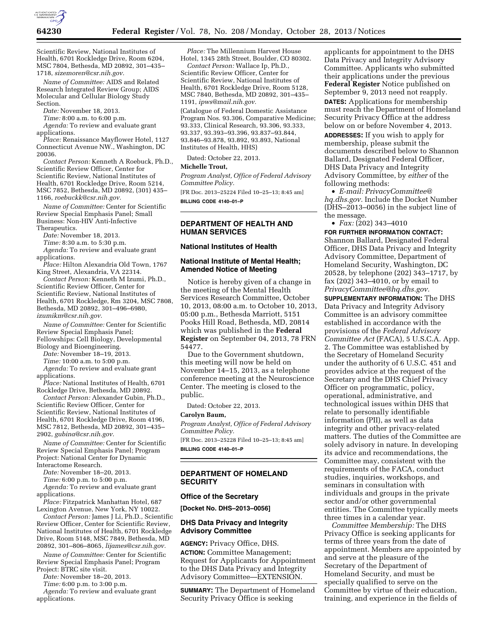

Scientific Review, National Institutes of Health, 6701 Rockledge Drive, Room 6204, MSC 7804, Bethesda, MD 20892, 301–435– 1718, *[sizemoren@csr.nih.gov.](mailto:sizemoren@csr.nih.gov)* 

*Name of Committee:* AIDS and Related Research Integrated Review Group; AIDS Molecular and Cellular Biology Study Section.

*Date:* November 18, 2013.

*Time:* 8:00 a.m. to 6:00 p.m.

*Agenda:* To review and evaluate grant applications.

*Place:* Renaissance Mayflower Hotel, 1127 Connecticut Avenue NW., Washington, DC 20036.

*Contact Person:* Kenneth A Roebuck, Ph.D., Scientific Review Officer, Center for Scientific Review, National Institutes of Health, 6701 Rockledge Drive, Room 5214, MSC 7852, Bethesda, MD 20892, (301) 435– 1166, *[roebuckk@csr.nih.gov.](mailto:roebuckk@csr.nih.gov)* 

*Name of Committee:* Center for Scientific Review Special Emphasis Panel; Small Business: Non-HIV Anti-Infective Therapeutics.

*Date:* November 18, 2013.

*Time:* 8:30 a.m. to 5:30 p.m.

*Agenda:* To review and evaluate grant applications.

*Place:* Hilton Alexandria Old Town, 1767 King Street, Alexandria, VA 22314.

*Contact Person:* Kenneth M Izumi, Ph.D., Scientific Review Officer, Center for Scientific Review, National Institutes of Health, 6701 Rockledge, Rm 3204, MSC 7808, Bethesda, MD 20892, 301–496–6980, *[izumikm@csr.nih.gov.](mailto:izumikm@csr.nih.gov)* 

*Name of Committee:* Center for Scientific Review Special Emphasis Panel; Fellowships: Cell Biology, Developmental

Biology and Bioengineering. *Date:* November 18–19, 2013.

*Time:* 10:00 a.m. to 5:00 p.m.

*Agenda:* To review and evaluate grant applications.

*Place:* National Institutes of Health, 6701 Rockledge Drive, Bethesda, MD 20892.

*Contact Person:* Alexander Gubin, Ph.D., Scientific Review Officer, Center for Scientific Review, National Institutes of Health, 6701 Rockledge Drive, Room 4196, MSC 7812, Bethesda, MD 20892, 301–435– 2902, *[gubina@csr.nih.gov.](mailto:gubina@csr.nih.gov)* 

*Name of Committee:* Center for Scientific Review Special Emphasis Panel; Program Project: National Center for Dynamic Interactome Research.

*Date:* November 18–20, 2013.

*Time:* 6:00 p.m. to 5:00 p.m.

*Agenda:* To review and evaluate grant applications.

*Place:* Fitzpatrick Manhattan Hotel, 687 Lexington Avenue, New York, NY 10022.

*Contact Person:* James J Li, Ph.D., Scientific Review Officer, Center for Scientific Review, National Institutes of Health, 6701 Rockledge Drive, Room 5148, MSC 7849, Bethesda, MD 20892, 301–806–8065, *[lijames@csr.nih.gov.](mailto:lijames@csr.nih.gov)* 

*Name of Committee:* Center for Scientific Review Special Emphasis Panel; Program Project: BTRC site visit.

*Date:* November 18–20, 2013.

*Time:* 6:00 p.m. to 3:00 p.m.

*Agenda:* To review and evaluate grant applications.

*Place:* The Millennium Harvest House Hotel, 1345 28th Street, Boulder, CO 80302.

*Contact Person:* Wallace Ip, Ph.D., Scientific Review Officer, Center for Scientific Review, National Institutes of Health, 6701 Rockledge Drive, Room 5128, MSC 7840, Bethesda, MD 20892, 301–435– 1191, *[ipws@mail.nih.gov.](mailto:ipws@mail.nih.gov)* 

(Catalogue of Federal Domestic Assistance Program Nos. 93.306, Comparative Medicine; 93.333, Clinical Research, 93.306, 93.333, 93.337, 93.393–93.396, 93.837–93.844, 93.846–93.878, 93.892, 93.893, National Institutes of Health, HHS)

Dated: October 22, 2013.

#### **Michelle Trout,**

*Program Analyst, Office of Federal Advisory Committee Policy.* 

[FR Doc. 2013–25224 Filed 10–25–13; 8:45 am] **BILLING CODE 4140–01–P** 

## **DEPARTMENT OF HEALTH AND HUMAN SERVICES**

## **National Institutes of Health**

#### **National Institute of Mental Health; Amended Notice of Meeting**

Notice is hereby given of a change in the meeting of the Mental Health Services Research Committee, October 10, 2013, 08:00 a.m. to October 10, 2013, 05:00 p.m., Bethesda Marriott, 5151 Pooks Hill Road, Bethesda, MD, 20814 which was published in the **Federal Register** on September 04, 2013, 78 FRN 54477.

Due to the Government shutdown, this meeting will now be held on November 14–15, 2013, as a telephone conference meeting at the Neuroscience Center. The meeting is closed to the public.

Dated: October 22, 2013.

## **Carolyn Baum,**

*Program Analyst, Office of Federal Advisory Committee Policy.* 

[FR Doc. 2013–25228 Filed 10–25–13; 8:45 am] **BILLING CODE 4140–01–P** 

#### **DEPARTMENT OF HOMELAND SECURITY**

#### **Office of the Secretary**

**[Docket No. DHS–2013–0056]** 

## **DHS Data Privacy and Integrity Advisory Committee**

**AGENCY:** Privacy Office, DHS.

**ACTION:** Committee Management; Request for Applicants for Appointment to the DHS Data Privacy and Integrity Advisory Committee—EXTENSION.

**SUMMARY:** The Department of Homeland Security Privacy Office is seeking

applicants for appointment to the DHS Data Privacy and Integrity Advisory Committee. Applicants who submitted their applications under the previous **Federal Register** Notice published on September 9, 2013 need not reapply. **DATES:** Applications for membership must reach the Department of Homeland Security Privacy Office at the address below on or before November 4, 2013. **ADDRESSES:** If you wish to apply for membership, please submit the documents described below to Shannon Ballard, Designated Federal Officer, DHS Data Privacy and Integrity Advisory Committee, by *either* of the following methods:

• *E-mail: [PrivacyCommittee@](mailto:PrivacyCommittee@hq.dhs.gov) [hq.dhs.gov.](mailto:PrivacyCommittee@hq.dhs.gov)* Include the Docket Number (DHS–2013–0056) in the subject line of the message.

 $\bullet$  *Fax:* (202) 343-4010

**FOR FURTHER INFORMATION CONTACT:**  Shannon Ballard, Designated Federal Officer, DHS Data Privacy and Integrity Advisory Committee, Department of Homeland Security, Washington, DC 20528, by telephone (202) 343–1717, by fax (202) 343–4010, or by email to *[PrivacyCommittee@hq.dhs.gov.](mailto:PrivacyCommittee@hq.dhs.gov)* 

**SUPPLEMENTARY INFORMATION:** The DHS Data Privacy and Integrity Advisory Committee is an advisory committee established in accordance with the provisions of the *Federal Advisory Committee Act* (FACA), 5 U.S.C.A. App. 2. The Committee was established by the Secretary of Homeland Security under the authority of 6 U.S.C. 451 and provides advice at the request of the Secretary and the DHS Chief Privacy Officer on programmatic, policy, operational, administrative, and technological issues within DHS that relate to personally identifiable information (PII), as well as data integrity and other privacy-related matters. The duties of the Committee are solely advisory in nature. In developing its advice and recommendations, the Committee may, consistent with the requirements of the FACA, conduct studies, inquiries, workshops, and seminars in consultation with individuals and groups in the private sector and/or other governmental entities. The Committee typically meets three times in a calendar year.

*Committee Membership:* The DHS Privacy Office is seeking applicants for terms of three years from the date of appointment. Members are appointed by and serve at the pleasure of the Secretary of the Department of Homeland Security, and must be specially qualified to serve on the Committee by virtue of their education, training, and experience in the fields of